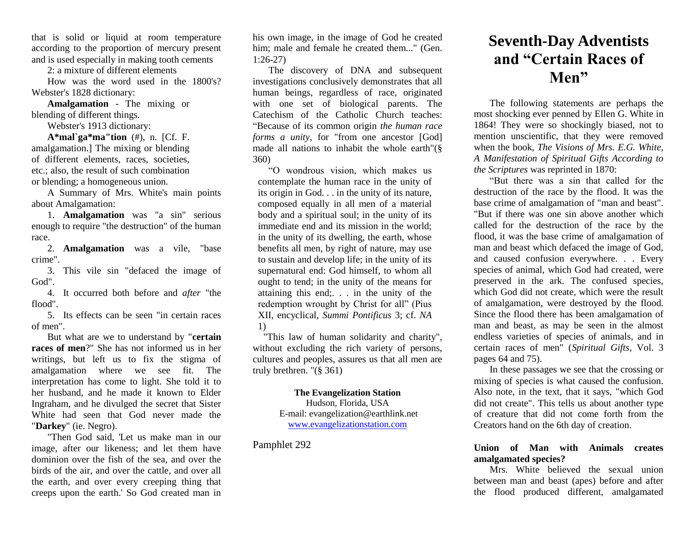that is solid or liquid at room temperature according to the proportion of mercury present and is used especially in making tooth cements

2: a mixture of different elements

How was the word used in the 1800's? Webster's 1828 dictionary:

**Amalgamation** - The mixing or blending of different things.

Webster's 1913 dictionary:

**A\*mal`ga\*ma"tion** (#), n. [Cf. F. amalgamation.] The mixing or blending of different elements, races, societies, etc.; also, the result of such combination or blending; a homogeneous union.

A Summary of Mrs. White's main points about Amalgamation:

1. **Amalgamation** was "a sin" serious enough to require "the destruction" of the human race.

2. **Amalgamation** was a vile, "base crime".

3. This vile sin "defaced the image of God".

4. It occurred both before and *after* "the flood".

5. Its effects can be seen "in certain races of men".

But what are we to understand by "**certain races of men**?" She has not informed us in her writings, but left us to fix the stigma of amalgamation where we see fit. The interpretation has come to light. She told it to her husband, and he made it known to Elder Ingraham, and he divulged the secret that Sister White had seen that God never made the "**Darkey**" (ie. Negro).

"Then God said, 'Let us make man in our image, after our likeness; and let them have dominion over the fish of the sea, and over the birds of the air, and over the cattle, and over all the earth, and over every creeping thing that creeps upon the earth.' So God created man in

his own image, in the image of God he created him; male and female he created them..." (Gen. 1:26-27)

The discovery of DNA and subsequent investigations conclusively demonstrates that all human beings, regardless of race, originated with one set of biological parents. The Catechism of the Catholic Church teaches: "Because of its common origin *the human race forms a unity*, for "from one ancestor [God] made all nations to inhabit the whole earth"(§ 360)

"O wondrous vision, which makes us contemplate the human race in the unity of its origin in God. . . in the unity of its nature, composed equally in all men of a material body and a spiritual soul; in the unity of its immediate end and its mission in the world; in the unity of its dwelling, the earth, whose benefits all men, by right of nature, may use to sustain and develop life; in the unity of its supernatural end: God himself, to whom all ought to tend; in the unity of the means for attaining this end;. . . in the unity of the redemption wrought by Christ for all" (Pius XII, encyclical, *Summi Pontificus* 3; cf. *NA* 1)

"This law of human solidarity and charity", without excluding the rich variety of persons, cultures and peoples, assures us that all men are truly brethren. "(§ 361)

> **The Evangelization Station** Hudson, Florida, USA E-mail: evangelization@earthlink.net [www.evangelizationstation.com](http://www.pjpiisoe.org/)

Pamphlet 292

## **Seventh-Day Adventists and "Certain Races of Men"**

The following statements are perhaps the most shocking ever penned by Ellen G. White in 1864! They were so shockingly biased, not to mention unscientific, that they were removed when the book, *The Visions of Mrs. E.G. White, A Manifestation of Spiritual Gifts According to the Scriptures* was reprinted in 1870:

"But there was a sin that called for the destruction of the race by the flood. It was the base crime of amalgamation of "man and beast". "But if there was one sin above another which called for the destruction of the race by the flood, it was the base crime of amalgamation of man and beast which defaced the image of God, and caused confusion everywhere. . . Every species of animal, which God had created, were preserved in the ark. The confused species, which God did not create, which were the result of amalgamation, were destroyed by the flood. Since the flood there has been amalgamation of man and beast, as may be seen in the almost endless varieties of species of animals, and in certain races of men" (*Spiritual Gifts*, Vol. 3 pages 64 and 75).

In these passages we see that the crossing or mixing of species is what caused the confusion. Also note, in the text, that it says, "which God did not create". This tells us about another type of creature that did not come forth from the Creators hand on the 6th day of creation.

## **Union of Man with Animals creates amalgamated species?**

Mrs. White believed the sexual union between man and beast (apes) before and after the flood produced different, amalgamated